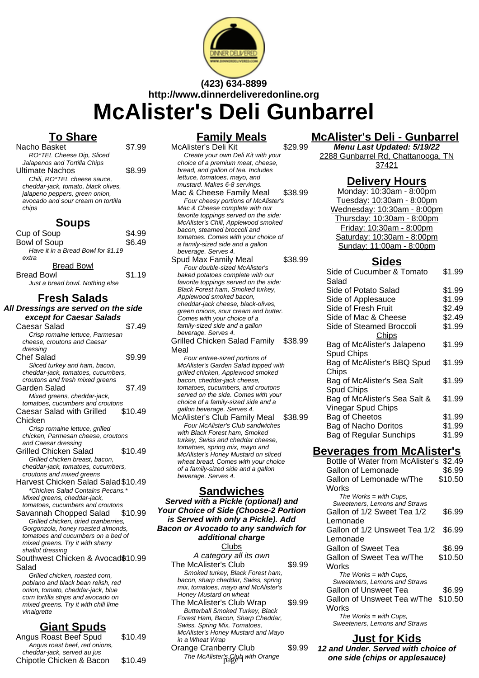

# **(423) 634-8899 http://www.dinnerdeliveredonline.org McAlister's Deli Gunbarrel**

# **To Share**

| Nacho Basket                        | \$7.99 |
|-------------------------------------|--------|
| RO*TEL Cheese Dip, Sliced           |        |
| Jalapenos and Tortilla Chips        |        |
| <b>Ultimate Nachos</b>              | \$8.99 |
| Chili, RO*TEL cheese sauce,         |        |
| cheddar-jack, tomato, black olives, |        |
| jalapeno peppers, green onion,      |        |
| avocado and sour cream on tortilla  |        |
| chips                               |        |
|                                     |        |

#### **Soups** Cup of Soup<br>Bowl of Soup Bowl of Soup

| <b>DUWI UI UUUP</b>                | ພບ.⊤ບ  |
|------------------------------------|--------|
| Have it in a Bread Bowl for \$1.19 |        |
| extra                              |        |
| <b>Bread Bowl</b>                  |        |
| <b>Bread Bowl</b>                  | \$1.19 |
| Just a bread bowl. Nothing else    |        |

## **Fresh Salads**

| All Dressings are served on the side                                    |         |
|-------------------------------------------------------------------------|---------|
| except for Caesar Salads                                                |         |
| Caesar Salad                                                            | \$7.49  |
| Crisp romaine lettuce, Parmesan                                         |         |
| cheese, croutons and Caesar                                             |         |
| dressing                                                                |         |
| <b>Chef Salad</b>                                                       | \$9.99  |
| Sliced turkey and ham, bacon,                                           |         |
| cheddar-jack, tomatoes, cucumbers,                                      |         |
| croutons and fresh mixed greens                                         |         |
| Garden Salad                                                            | \$7.49  |
| Mixed greens, cheddar-jack,                                             |         |
| tomatoes, cucumbers and croutons                                        |         |
| Caesar Salad with Grilled                                               | \$10.49 |
| Chicken                                                                 |         |
| Crisp romaine lettuce, grilled                                          |         |
| chicken, Parmesan cheese, croutons                                      |         |
| and Caesar dressing                                                     |         |
| Grilled Chicken Salad                                                   | \$10.49 |
| Grilled chicken breast, bacon,                                          |         |
| cheddar-jack, tomatoes, cucumbers,                                      |         |
| croutons and mixed greens                                               |         |
| Harvest Chicken Salad Salad \$10.49<br>*Chicken Salad Contains Pecans.* |         |
| Mixed greens, cheddar-jack,                                             |         |
| tomatoes, cucumbers and croutons                                        |         |
| Savannah Chopped Salad                                                  | \$10.99 |
| Grilled chicken, dried cranberries,                                     |         |
| Gorgonzola, honey roasted almonds,                                      |         |
| tomatoes and cucumbers on a bed of                                      |         |
| mixed greens. Try it with sherry                                        |         |
| shallot dressing                                                        |         |
| Southwest Chicken & Avocad®10.99                                        |         |
| Salad                                                                   |         |
| Grilled chicken, roasted corn.                                          |         |

Grilled chicken, roasted corn, poblano and black bean relish, red onion, tomato, cheddar-jack, blue corn tortilla strips and avocado on mixed greens. Try it with chili lime vinaigrette

# **Giant Spuds**

| Angus Roast Beef Spud         | \$10.49 |
|-------------------------------|---------|
| Angus roast beef, red onions, |         |
| cheddar-jack, served au jus   |         |
| Chipotle Chicken & Bacon      | \$10.49 |
|                               |         |

### **Family Meals**

McAlister's Deli Kit \$29.99 Create your own Deli Kit with your choice of a premium meat, cheese, bread, and gallon of tea. Includes lettuce, tomatoes, mayo, and mustard. Makes 6-8 servings. Mac & Cheese Family Meal \$38.99 Four cheesy portions of McAlister's Mac & Cheese complete with our favorite toppings served on the side: McAlister's Chili, Applewood smoked bacon, steamed broccoli and tomatoes. Comes with your choice of a family-sized side and a gallon beverage. Serves 4. Spud Max Family Meal \$38.99 Four double-sized McAlister's baked potatoes complete with our favorite toppings served on the side: Black Forest ham, Smoked turkey, Applewood smoked bacon, cheddar-jack cheese, black-olives,

#### green onions, sour cream and butter. Comes with your choice of a family-sized side and a gallon beverage. Serves 4. Grilled Chicken Salad Family Meal \$38.99

Four entree-sized portions of McAlister's Garden Salad topped with grilled chicken, Applewood smoked bacon, cheddar-jack cheese, tomatoes, cucumbers, and croutons served on the side. Comes with your choice of a family-sized side and a gallon beverage. Serves 4.

McAlister's Club Family Meal \$38.99 Four McAlister's Club sandwiches with Black Forest ham, Smoked turkey, Swiss and cheddar cheese, tomatoes, spring mix, mayo and McAlister's Honey Mustard on sliced wheat bread. Comes with your choice of a family-sized side and a gallon beverage. Serves 4.

#### **Sandwiches**

**Served with a Pickle (optional) and Your Choice of Side (Choose-2 Portion is Served with only a Pickle). Add Bacon or Avocado to any sandwich for additional charge**

Clubs A category all its own The McAlister's Club \$9.99 Smoked turkey, Black Forest ham, bacon, sharp cheddar, Swiss, spring mix, tomatoes, mayo and McAlister's Honey Mustard on wheat The McAlister's Club Wrap \$9.99 Butterball Smoked Turkey, Black Forest Ham, Bacon, Sharp Cheddar, Swiss, Spring Mix, Tomatoes, McAlister's Honey Mustard and Mayo

### in a Wheat Wrap Orange Cranberry Club \$9.99

The McAlister's Club with Orange

# **McAlister's Deli - Gunbarrel**

**Menu Last Updated: 5/19/22** 2288 Gunbarrel Rd, Chattanooga, TN 37421

## **Delivery Hours**

Monday: 10:30am - 8:00pm Tuesday: 10:30am - 8:00pm Wednesday: 10:30am - 8:00pm Thursday: 10:30am - 8:00pm Friday: 10:30am - 8:00pm Saturday: 10:30am - 8:00pm Sunday: 11:00am - 8:00pm

## **Sides**

| Side of Cucumber & Tomato     | \$1.99 |
|-------------------------------|--------|
| Salad                         |        |
| Side of Potato Salad          | \$1.99 |
| Side of Applesauce            | \$1.99 |
| Side of Fresh Fruit           | \$2.49 |
| Side of Mac & Cheese          | \$2.49 |
| Side of Steamed Broccoli      | \$1.99 |
| <b>Chips</b>                  |        |
| Bag of McAlister's Jalapeno   | \$1.99 |
| Spud Chips                    |        |
| Bag of McAlister's BBQ Spud   | \$1.99 |
| Chips                         |        |
| Bag of McAlister's Sea Salt   | \$1.99 |
| Spud Chips                    |        |
| Bag of McAlister's Sea Salt & | \$1.99 |
| Vinegar Spud Chips            |        |
| Bag of Cheetos                | \$1.99 |
| Bag of Nacho Doritos          | \$1.99 |
| Bag of Regular Sunchips       | \$1.99 |
|                               |        |

## **Beverages from McAlister's**

| Bottle of Water from McAlister's | \$2.49  |
|----------------------------------|---------|
| Gallon of Lemonade               | \$6.99  |
| Gallon of Lemonade w/The         | \$10.50 |
| Works                            |         |
| The Works $=$ with Cups,         |         |
| Sweeteners, Lemons and Straws    |         |
| Gallon of 1/2 Sweet Tea 1/2      | \$6.99  |
| Lemonade                         |         |
| Gallon of 1/2 Unsweet Tea 1/2    | \$6.99  |
| Lemonade                         |         |
| Gallon of Sweet Tea              | \$6.99  |
| Gallon of Sweet Tea w/The        | \$10.50 |
| Works                            |         |
| The Works $=$ with Cups,         |         |
| Sweeteners, Lemons and Straws    |         |
| Gallon of Unsweet Tea            | \$6.99  |
| Gallon of Unsweet Tea w/The      | \$10.50 |
| Works                            |         |
| The Works $=$ with Cups,         |         |
| Sweeteners, Lemons and Straws    |         |

**Just for Kids**

**12 and Under. Served with choice of** one side (chips or applesauce)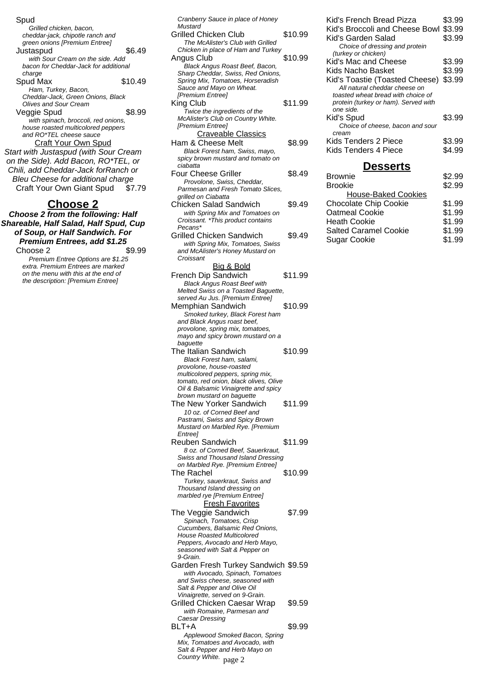#### Spud

Grilled chicken, bacon, cheddar-jack, chipotle ranch and green onions [Premium Entree] Justaspud \$6.49 with Sour Cream on the side. Add bacon for Cheddar-Jack for additional charge Spud Max  $$10.49$ Ham, Turkey, Bacon, Cheddar-Jack, Green Onions, Black Olives and Sour Cream Veggie Spud \$8.99 with spinach, broccoli, red onions, house roasted multicolored peppers and RO\*TEL cheese sauce Craft Your Own Spud Start with Justaspud (with Sour Cream on the Side). Add Bacon, RO\*TEL, or Chili, add Cheddar-Jack forRanch or Bleu Cheese for additional charge Craft Your Own Giant Spud \$7.79

#### **Choose 2**

**Choose 2 from the following: Half Shareable, Half Salad, Half Spud, Cup of Soup, or Half Sandwich. For Premium Entrees, add \$1.25** Choose 2 \$9.99

Premium Entree Options are \$1.25 extra. Premium Entrees are marked on the menu with this at the end of the description: [Premium Entree]

| Cranberry Sauce in place of Honey                                                                                                                                                                                             |         |
|-------------------------------------------------------------------------------------------------------------------------------------------------------------------------------------------------------------------------------|---------|
| Mustard<br>Grilled Chicken Club<br>The McAlister's Club with Grilled                                                                                                                                                          | \$10.99 |
| Chicken in place of Ham and Turkey<br>Angus Club<br>Black Angus Roast Beef, Bacon,                                                                                                                                            | \$10.99 |
| Sharp Cheddar, Swiss, Red Onions,<br>Spring Mix, Tomatoes, Horseradish<br>Sauce and Mayo on Wheat.<br>[Premium Entree]<br>King Club<br>Twice the ingredients of the<br>McAlister's Club on Country White.<br>[Premium Entree] | \$11.99 |
| <b>Craveable Classics</b><br>Ham & Cheese Melt<br>Black Forest ham, Swiss, mayo,<br>spicy brown mustard and tomato on                                                                                                         | \$8.99  |
| ciabatta<br>Four Cheese Griller<br>Provolone, Swiss, Cheddar,                                                                                                                                                                 | \$8.49  |
| Parmesan and Fresh Tomato Slices,<br>grilled on Ciabatta<br><b>Chicken Salad Sandwich</b><br>with Spring Mix and Tomatoes on<br>Croissant. *This product contains                                                             | \$9.49  |
| Pecans*<br>Grilled Chicken Sandwich<br>with Spring Mix, Tomatoes, Swiss<br>and McAlister's Honey Mustard on                                                                                                                   | \$9.49  |
| Croissant<br><u>Big &amp; Bold</u><br>French Dip Sandwich<br><b>Black Angus Roast Beef with</b><br>Melted Swiss on a Toasted Baguette,                                                                                        | \$11.99 |
| served Au Jus. [Premium Entree]<br>Memphian Sandwich<br>Smoked turkey, Black Forest ham<br>and Black Angus roast beef,<br>provolone, spring mix, tomatoes,                                                                    | \$10.99 |
| mayo and spicy brown mustard on a<br>baguette<br>The Italian Sandwich<br>Black Forest ham, salami,                                                                                                                            | \$10.99 |
| provolone, house-roasted<br>multicolored peppers, spring mix,<br>tomato, red onion, black olives, Olive<br>Oil & Balsamic Vinaigrette and spicy<br>brown mustard on baguette                                                  |         |
| The New Yorker Sandwich<br>10 oz. of Corned Beef and<br>Pastrami, Swiss and Spicy Brown<br>Mustard on Marbled Rye. [Premium                                                                                                   | \$11.99 |
| Entree]<br><b>Reuben Sandwich</b><br>8 oz. of Corned Beef, Sauerkraut,<br>Swiss and Thousand Island Dressing                                                                                                                  | \$11.99 |
| on Marbled Rye. [Premium Entree]<br>The Rachel<br>Turkey, sauerkraut, Swiss and<br>Thousand Island dressing on<br>marbled rye [Premium Entree]                                                                                | \$10.99 |
| <b>Fresh Favorites</b><br>The Veggie Sandwich<br>Spinach, Tomatoes, Crisp<br>Cucumbers, Balsamic Red Onions,<br><b>House Roasted Multicolored</b><br>Peppers, Avocado and Herb Mayo,<br>seasoned with Salt & Pepper on        | \$7.99  |
|                                                                                                                                                                                                                               |         |
| 9-Grain.<br>Garden Fresh Turkey Sandwich \$9.59<br>with Avocado, Spinach, Tomatoes<br>and Swiss cheese, seasoned with                                                                                                         |         |
| Salt & Pepper and Olive Oil<br>Vinaigrette, served on 9-Grain.<br>Grilled Chicken Caesar Wrap<br>with Romaine, Parmesan and<br>Caesar Dressing                                                                                | \$9.59  |

Country White. page 2

Kid's French Bread Pizza \$3.99 Kid's Broccoli and Cheese Bowl \$3.99 Kid's Garden Salad \$3.99 Choice of dressing and protein (turkey or chicken) Kid's Mac and Cheese \$3.99 Kids Nacho Basket \$3.99 Kid's Toastie (Toasted Cheese) \$3.99 All natural cheddar cheese on toasted wheat bread with choice of protein (turkey or ham). Served with one side. Kid's Spud \$3.99 Choice of cheese, bacon and sour cream Kids Tenders 2 Piece \$3.99 Kids Tenders 4 Piece \$4.99

#### **Desserts**

| <b>Brownie</b>               | \$2.99 |
|------------------------------|--------|
| <b>Brookie</b>               | \$2.99 |
| <b>House-Baked Cookies</b>   |        |
| <b>Chocolate Chip Cookie</b> | \$1.99 |
| <b>Oatmeal Cookie</b>        | \$1.99 |
| <b>Heath Cookie</b>          | \$1.99 |
| <b>Salted Caramel Cookie</b> | \$1.99 |
| <b>Sugar Cookie</b>          | \$1.99 |
|                              |        |